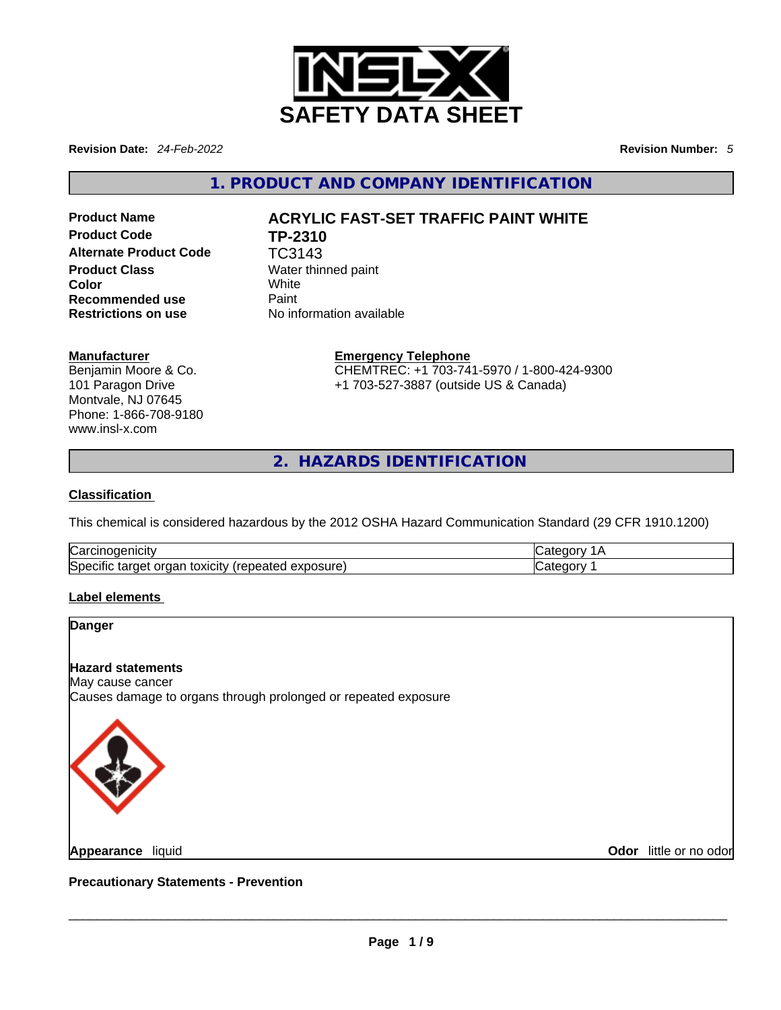

**Revision Date:** *24-Feb-2022* **Revision Number:** *5*

**1. PRODUCT AND COMPANY IDENTIFICATION** 

**Product Code TP-2310**  Alternate Product Code **TC3143 Product Class Water thinned paint Color** White **Recommended use Paint Restrictions on use** No information available

# **Product Name ACRYLIC FAST-SET TRAFFIC PAINT WHITE**

#### **Manufacturer**

Benjamin Moore & Co. 101 Paragon Drive Montvale, NJ 07645 Phone: 1-866-708-9180 www.insl-x.com

**Emergency Telephone** CHEMTREC: +1 703-741-5970 / 1-800-424-9300 +1 703-527-3887 (outside US & Canada)

**2. HAZARDS IDENTIFICATION** 

#### **Classification**

This chemical is considered hazardous by the 2012 OSHA Hazard Communication Standard (29 CFR 1910.1200)

| ∽<br>l∪ar<br>. .                                                                                                        |  |
|-------------------------------------------------------------------------------------------------------------------------|--|
| <b>Spec</b><br>posure)<br>----<br>------<br>orgar<br>target<br>rene.<br><b>TOXICITY</b><br>CITIC<br>$-11$<br>ラスレ<br>. . |  |

# **Label elements**

### **Danger**

#### **Hazard statements**

May cause cancer Causes damage to organs through prolonged or repeated exposure



**Odor** little or no odor

**Precautionary Statements - Prevention Appearance** liquid \_\_\_\_\_\_\_\_\_\_\_\_\_\_\_\_\_\_\_\_\_\_\_\_\_\_\_\_\_\_\_\_\_\_\_\_\_\_\_\_\_\_\_\_\_\_\_\_\_\_\_\_\_\_\_\_\_\_\_\_\_\_\_\_\_\_\_\_\_\_\_\_\_\_\_\_\_\_\_\_\_\_\_\_\_\_\_\_\_\_\_\_\_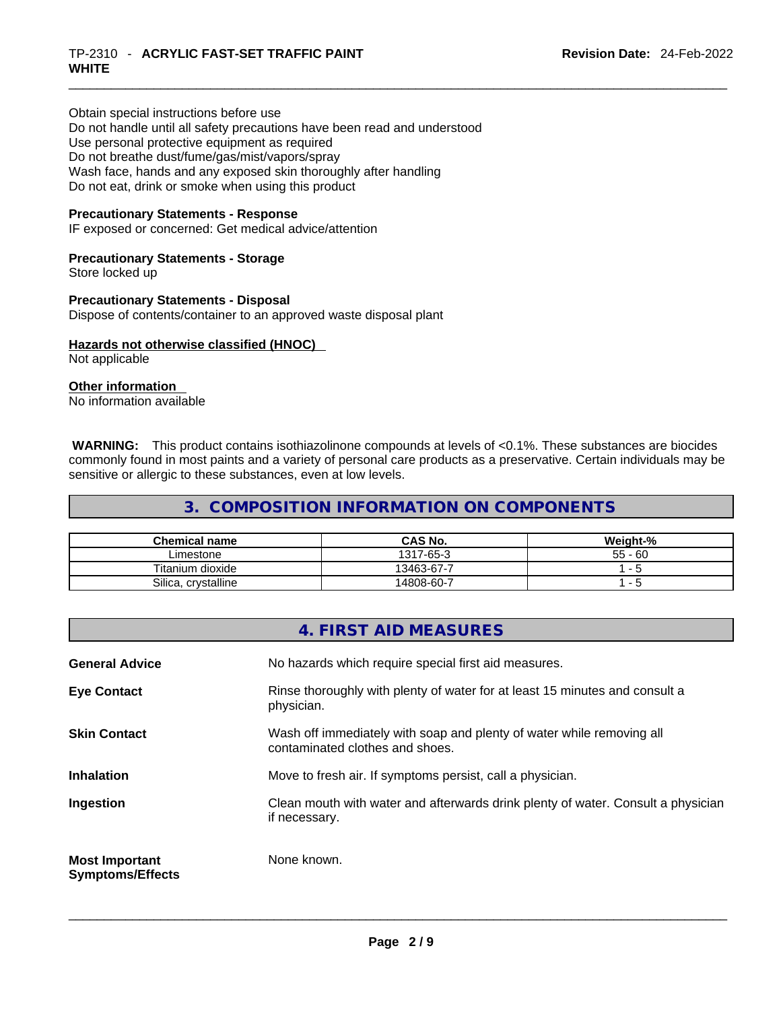Obtain special instructions before use Do not handle until all safety precautions have been read and understood Use personal protective equipment as required Do not breathe dust/fume/gas/mist/vapors/spray Wash face, hands and any exposed skin thoroughly after handling Do not eat, drink or smoke when using this product

#### **Precautionary Statements - Response**

IF exposed or concerned: Get medical advice/attention

# **Precautionary Statements - Storage**

Store locked up

#### **Precautionary Statements - Disposal**

Dispose of contents/container to an approved waste disposal plant

#### **Hazards not otherwise classified (HNOC)**  Not applicable

**Other information** 

No information available

 **WARNING:** This product contains isothiazolinone compounds at levels of <0.1%. These substances are biocides commonly found in most paints and a variety of personal care products as a preservative. Certain individuals may be sensitive or allergic to these substances, even at low levels.

# **3. COMPOSITION INFORMATION ON COMPONENTS**

| <b>Chemical name</b> | <b>CAS No.</b> | Weight-%  |
|----------------------|----------------|-----------|
| Limestone            | 1317-65-3      | $55 - 60$ |
| Titanium dioxide     | 13463-67-7     |           |
| Silica, crystalline  | 14808-60-7     |           |

| 4. FIRST AID MEASURES                                                                                    |  |
|----------------------------------------------------------------------------------------------------------|--|
| No hazards which require special first aid measures.                                                     |  |
| Rinse thoroughly with plenty of water for at least 15 minutes and consult a<br>physician.                |  |
| Wash off immediately with soap and plenty of water while removing all<br>contaminated clothes and shoes. |  |
| Move to fresh air. If symptoms persist, call a physician.                                                |  |
| Clean mouth with water and afterwards drink plenty of water. Consult a physician<br>if necessary.        |  |
| None known.                                                                                              |  |
|                                                                                                          |  |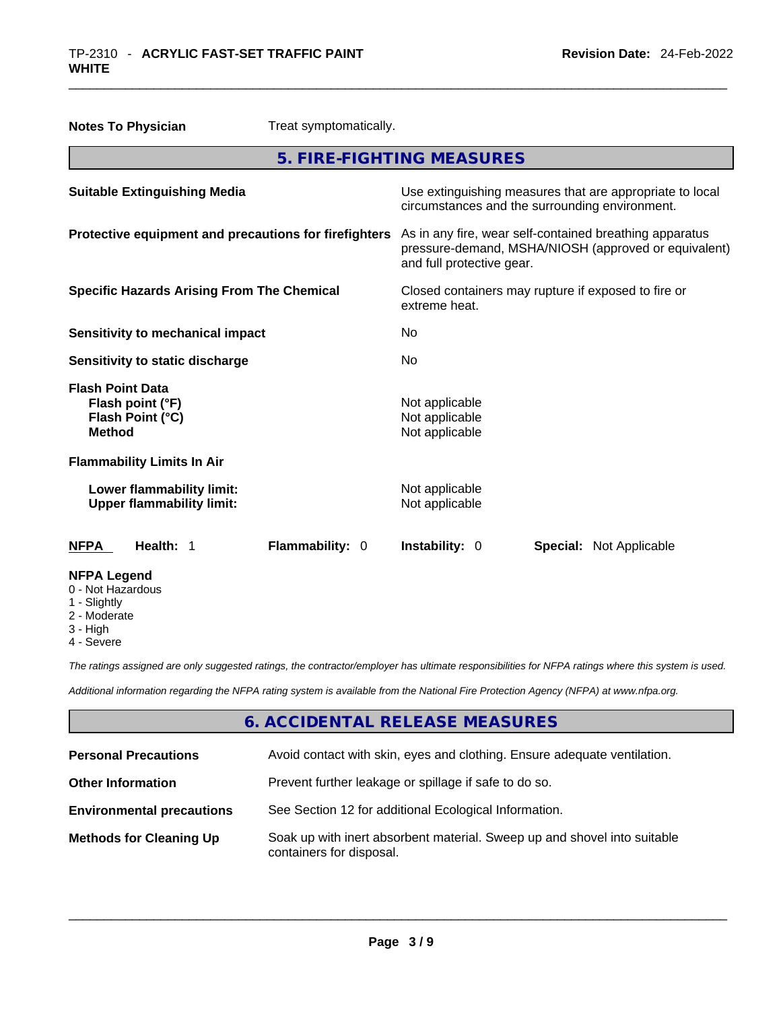| <b>Notes To Physician</b>                                                        | Treat symptomatically.                                |                                                                                                                                              |
|----------------------------------------------------------------------------------|-------------------------------------------------------|----------------------------------------------------------------------------------------------------------------------------------------------|
|                                                                                  |                                                       | 5. FIRE-FIGHTING MEASURES                                                                                                                    |
| <b>Suitable Extinguishing Media</b>                                              |                                                       | Use extinguishing measures that are appropriate to local<br>circumstances and the surrounding environment.                                   |
|                                                                                  | Protective equipment and precautions for firefighters | As in any fire, wear self-contained breathing apparatus<br>pressure-demand, MSHA/NIOSH (approved or equivalent)<br>and full protective gear. |
| <b>Specific Hazards Arising From The Chemical</b>                                |                                                       | Closed containers may rupture if exposed to fire or<br>extreme heat.                                                                         |
| <b>Sensitivity to mechanical impact</b>                                          |                                                       | No.                                                                                                                                          |
| Sensitivity to static discharge                                                  |                                                       | No                                                                                                                                           |
| <b>Flash Point Data</b><br>Flash point (°F)<br>Flash Point (°C)<br><b>Method</b> |                                                       | Not applicable<br>Not applicable<br>Not applicable                                                                                           |
| <b>Flammability Limits In Air</b>                                                |                                                       |                                                                                                                                              |
| Lower flammability limit:<br><b>Upper flammability limit:</b>                    |                                                       | Not applicable<br>Not applicable                                                                                                             |
| Health: 1<br><b>NFPA</b>                                                         | Flammability: 0                                       | Instability: 0<br><b>Special: Not Applicable</b>                                                                                             |
| <b>NFPA Legend</b><br>0 - Not Hazardous<br>1 - Slightly                          |                                                       |                                                                                                                                              |

- 
- 2 Moderate
- 3 High
- 4 Severe

*The ratings assigned are only suggested ratings, the contractor/employer has ultimate responsibilities for NFPA ratings where this system is used.* 

*Additional information regarding the NFPA rating system is available from the National Fire Protection Agency (NFPA) at www.nfpa.org.* 

# **6. ACCIDENTAL RELEASE MEASURES**

| <b>Personal Precautions</b>      | Avoid contact with skin, eyes and clothing. Ensure adequate ventilation.                             |
|----------------------------------|------------------------------------------------------------------------------------------------------|
| <b>Other Information</b>         | Prevent further leakage or spillage if safe to do so.                                                |
| <b>Environmental precautions</b> | See Section 12 for additional Ecological Information.                                                |
| <b>Methods for Cleaning Up</b>   | Soak up with inert absorbent material. Sweep up and shovel into suitable<br>containers for disposal. |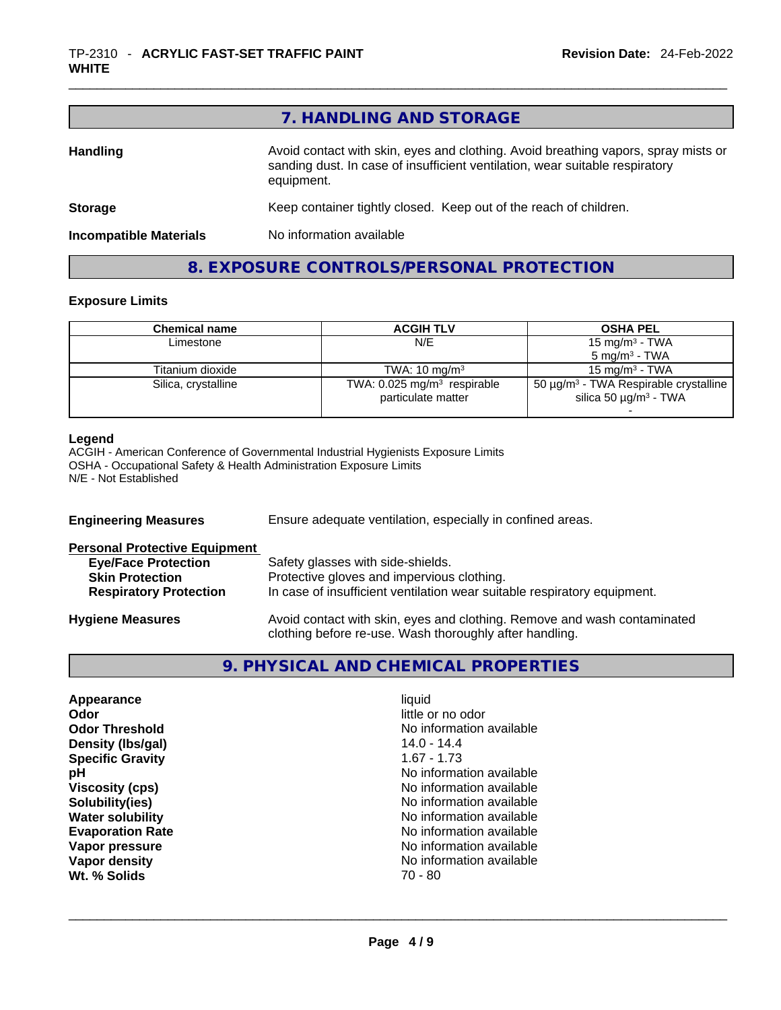|                               | 7. HANDLING AND STORAGE                                                                                                                                                          |
|-------------------------------|----------------------------------------------------------------------------------------------------------------------------------------------------------------------------------|
| <b>Handling</b>               | Avoid contact with skin, eyes and clothing. Avoid breathing vapors, spray mists or<br>sanding dust. In case of insufficient ventilation, wear suitable respiratory<br>equipment. |
| <b>Storage</b>                | Keep container tightly closed. Keep out of the reach of children.                                                                                                                |
| <b>Incompatible Materials</b> | No information available                                                                                                                                                         |
|                               | 8. EXPOSURE CONTROLS/PERSONAL PROTECTION                                                                                                                                         |

#### **Exposure Limits**

| Chemical name       | <b>ACGIH TLV</b>                                                | <b>OSHA PEL</b>                                                                                  |
|---------------------|-----------------------------------------------------------------|--------------------------------------------------------------------------------------------------|
| Limestone           | N/E                                                             | 15 mg/m <sup>3</sup> - TWA                                                                       |
|                     |                                                                 | $5 \text{ ma/m}^3$ - TWA                                                                         |
| Titanium dioxide    | TWA: $10 \text{ mg/m}^3$                                        | $15 \text{ ma/m}^3$ - TWA                                                                        |
| Silica, crystalline | TWA: $0.025$ mg/m <sup>3</sup> respirable<br>particulate matter | 50 $\mu$ g/m <sup>3</sup> - TWA Respirable crystalline<br>silica 50 $\mu$ g/m <sup>3</sup> - TWA |
|                     |                                                                 |                                                                                                  |

#### **Legend**

ACGIH - American Conference of Governmental Industrial Hygienists Exposure Limits OSHA - Occupational Safety & Health Administration Exposure Limits N/E - Not Established

| <b>Engineering Measures</b>          | Ensure adequate ventilation, especially in confined areas.                                                                          |  |
|--------------------------------------|-------------------------------------------------------------------------------------------------------------------------------------|--|
| <b>Personal Protective Equipment</b> |                                                                                                                                     |  |
| <b>Eye/Face Protection</b>           | Safety glasses with side-shields.                                                                                                   |  |
| <b>Skin Protection</b>               | Protective gloves and impervious clothing.                                                                                          |  |
| <b>Respiratory Protection</b>        | In case of insufficient ventilation wear suitable respiratory equipment.                                                            |  |
| <b>Hygiene Measures</b>              | Avoid contact with skin, eyes and clothing. Remove and wash contaminated<br>clothing before re-use. Wash thoroughly after handling. |  |

# **9. PHYSICAL AND CHEMICAL PROPERTIES**

| liquid                   |
|--------------------------|
| little or no odor        |
| No information available |
| $14.0 - 14.4$            |
| $1.67 - 1.73$            |
| No information available |
| No information available |
| No information available |
| No information available |
| No information available |
| No information available |
| No information available |
| $70 - 80$                |
|                          |
|                          |
|                          |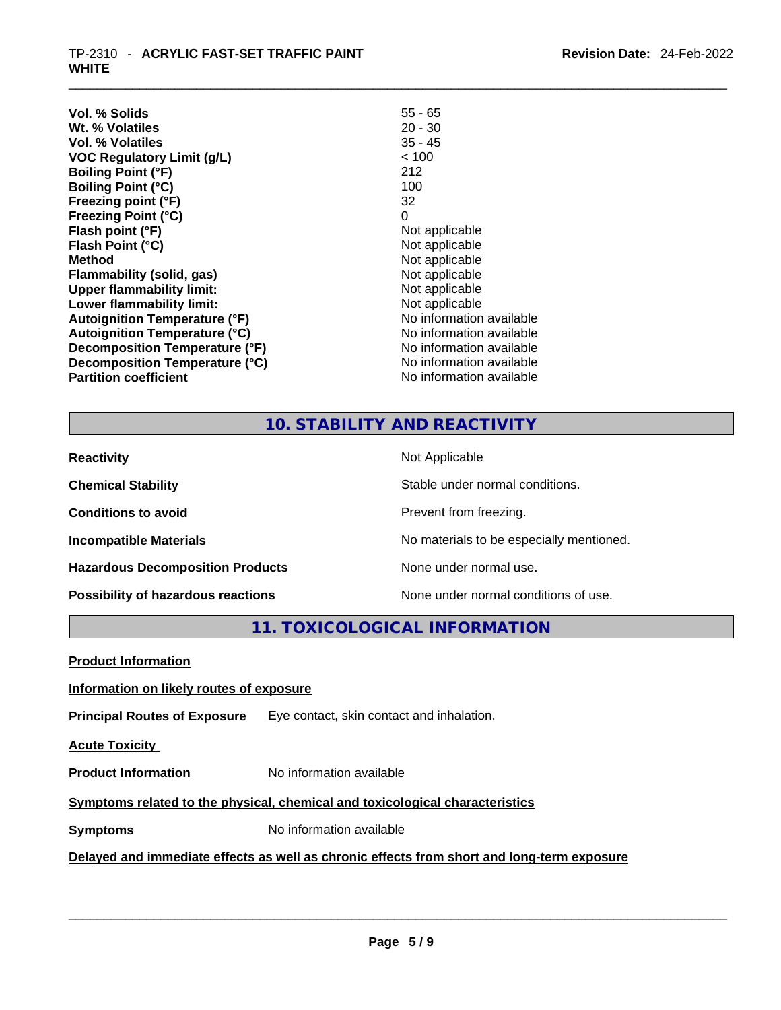#### \_\_\_\_\_\_\_\_\_\_\_\_\_\_\_\_\_\_\_\_\_\_\_\_\_\_\_\_\_\_\_\_\_\_\_\_\_\_\_\_\_\_\_\_\_\_\_\_\_\_\_\_\_\_\_\_\_\_\_\_\_\_\_\_\_\_\_\_\_\_\_\_\_\_\_\_\_\_\_\_\_\_\_\_\_\_\_\_\_\_\_\_\_ TP-2310 - **ACRYLIC FAST-SET TRAFFIC PAINT WHITE**

| Vol. % Solids                        | $55 - 65$                |
|--------------------------------------|--------------------------|
| Wt. % Volatiles                      | $20 - 30$                |
| Vol. % Volatiles                     | $35 - 45$                |
| <b>VOC Regulatory Limit (g/L)</b>    | < 100                    |
| <b>Boiling Point (°F)</b>            | 212                      |
| <b>Boiling Point (°C)</b>            | 100                      |
| Freezing point (°F)                  | 32                       |
| <b>Freezing Point (°C)</b>           | 0                        |
| Flash point (°F)                     | Not applicable           |
| Flash Point (°C)                     | Not applicable           |
| Method                               | Not applicable           |
| <b>Flammability (solid, gas)</b>     | Not applicable           |
| <b>Upper flammability limit:</b>     | Not applicable           |
| Lower flammability limit:            | Not applicable           |
| <b>Autoignition Temperature (°F)</b> | No information available |
| <b>Autoignition Temperature (°C)</b> | No information available |
| Decomposition Temperature (°F)       | No information available |
| Decomposition Temperature (°C)       | No information available |
| <b>Partition coefficient</b>         | No information available |

# **10. STABILITY AND REACTIVITY**

| <b>Reactivity</b>                       | Not Applicable                           |
|-----------------------------------------|------------------------------------------|
| <b>Chemical Stability</b>               | Stable under normal conditions.          |
| <b>Conditions to avoid</b>              | Prevent from freezing.                   |
| <b>Incompatible Materials</b>           | No materials to be especially mentioned. |
| <b>Hazardous Decomposition Products</b> | None under normal use.                   |
| Possibility of hazardous reactions      | None under normal conditions of use.     |

**11. TOXICOLOGICAL INFORMATION** 

| <b>Product Information</b>                                                                 |                                           |  |  |
|--------------------------------------------------------------------------------------------|-------------------------------------------|--|--|
| Information on likely routes of exposure                                                   |                                           |  |  |
| <b>Principal Routes of Exposure</b>                                                        | Eye contact, skin contact and inhalation. |  |  |
| <b>Acute Toxicity</b>                                                                      |                                           |  |  |
| <b>Product Information</b>                                                                 | No information available                  |  |  |
| Symptoms related to the physical, chemical and toxicological characteristics               |                                           |  |  |
| <b>Symptoms</b>                                                                            | No information available                  |  |  |
| Delayed and immediate effects as well as chronic effects from short and long-term exposure |                                           |  |  |
|                                                                                            |                                           |  |  |
|                                                                                            |                                           |  |  |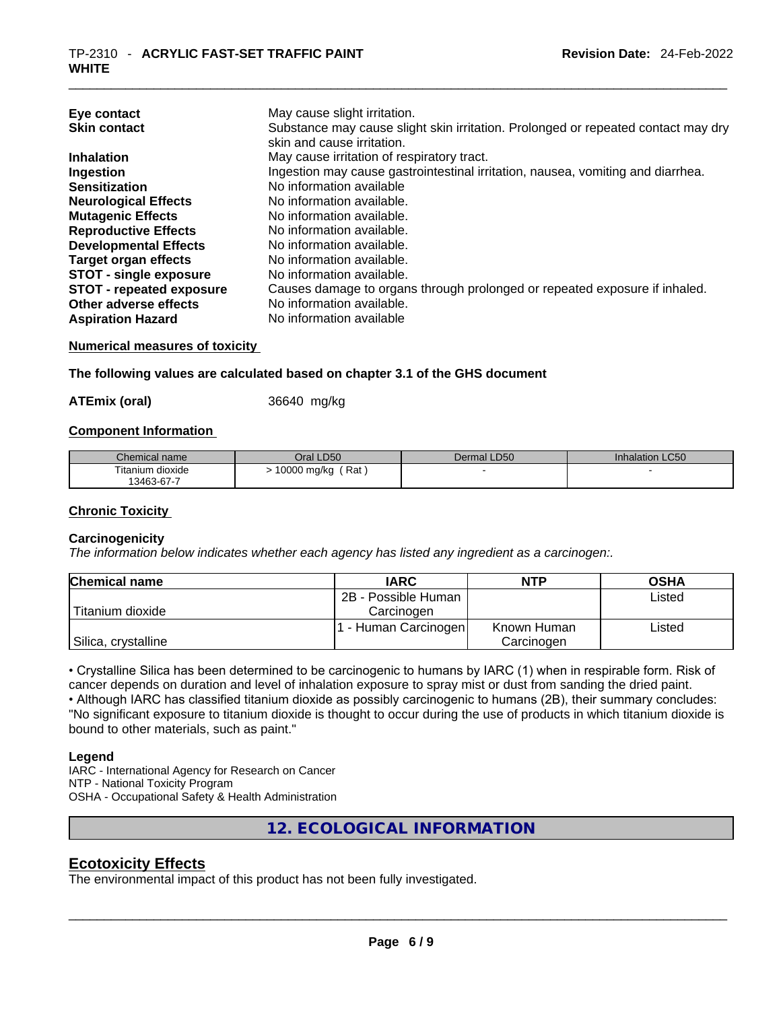| Eye contact<br><b>Skin contact</b> | May cause slight irritation.<br>Substance may cause slight skin irritation. Prolonged or repeated contact may dry<br>skin and cause irritation. |
|------------------------------------|-------------------------------------------------------------------------------------------------------------------------------------------------|
| <b>Inhalation</b>                  | May cause irritation of respiratory tract.                                                                                                      |
| Ingestion                          | Ingestion may cause gastrointestinal irritation, nausea, vomiting and diarrhea.                                                                 |
| <b>Sensitization</b>               | No information available                                                                                                                        |
| <b>Neurological Effects</b>        | No information available.                                                                                                                       |
| <b>Mutagenic Effects</b>           | No information available.                                                                                                                       |
| <b>Reproductive Effects</b>        | No information available.                                                                                                                       |
| <b>Developmental Effects</b>       | No information available.                                                                                                                       |
| <b>Target organ effects</b>        | No information available.                                                                                                                       |
| <b>STOT - single exposure</b>      | No information available.                                                                                                                       |
| <b>STOT - repeated exposure</b>    | Causes damage to organs through prolonged or repeated exposure if inhaled.                                                                      |
| Other adverse effects              | No information available.                                                                                                                       |
| <b>Aspiration Hazard</b>           | No information available                                                                                                                        |

#### **Numerical measures of toxicity**

#### **The following values are calculated based on chapter 3.1 of the GHS document**

**ATEmix (oral)** 36640 mg/kg

#### **Component Information**

| Chemical name    | Oral LD50          | Dermal LD50 | <b>Inhalation LC50</b> |
|------------------|--------------------|-------------|------------------------|
| Titanium dioxide | Rat<br>10000 mg/kg |             |                        |
| 13463-67-7       |                    |             |                        |

#### **Chronic Toxicity**

#### **Carcinogenicity**

*The information below indicates whether each agency has listed any ingredient as a carcinogen:.* 

| <b>Chemical name</b> | <b>IARC</b>          | <b>NTP</b>  | <b>OSHA</b> |
|----------------------|----------------------|-------------|-------------|
|                      | 2B - Possible Human  |             | Listed      |
| l Titanium dioxide   | Carcinogen           |             |             |
|                      | 1 - Human Carcinogen | Known Human | ∟isted      |
| Silica, crystalline  |                      | Carcinogen  |             |

• Crystalline Silica has been determined to be carcinogenic to humans by IARC (1) when in respirable form. Risk of cancer depends on duration and level of inhalation exposure to spray mist or dust from sanding the dried paint.• Although IARC has classified titanium dioxide as possibly carcinogenic to humans (2B), their summary concludes: "No significant exposure to titanium dioxide is thought to occur during the use of products in which titanium dioxide is bound to other materials, such as paint."

#### **Legend**

IARC - International Agency for Research on Cancer NTP - National Toxicity Program OSHA - Occupational Safety & Health Administration

**12. ECOLOGICAL INFORMATION** 

# **Ecotoxicity Effects**

The environmental impact of this product has not been fully investigated.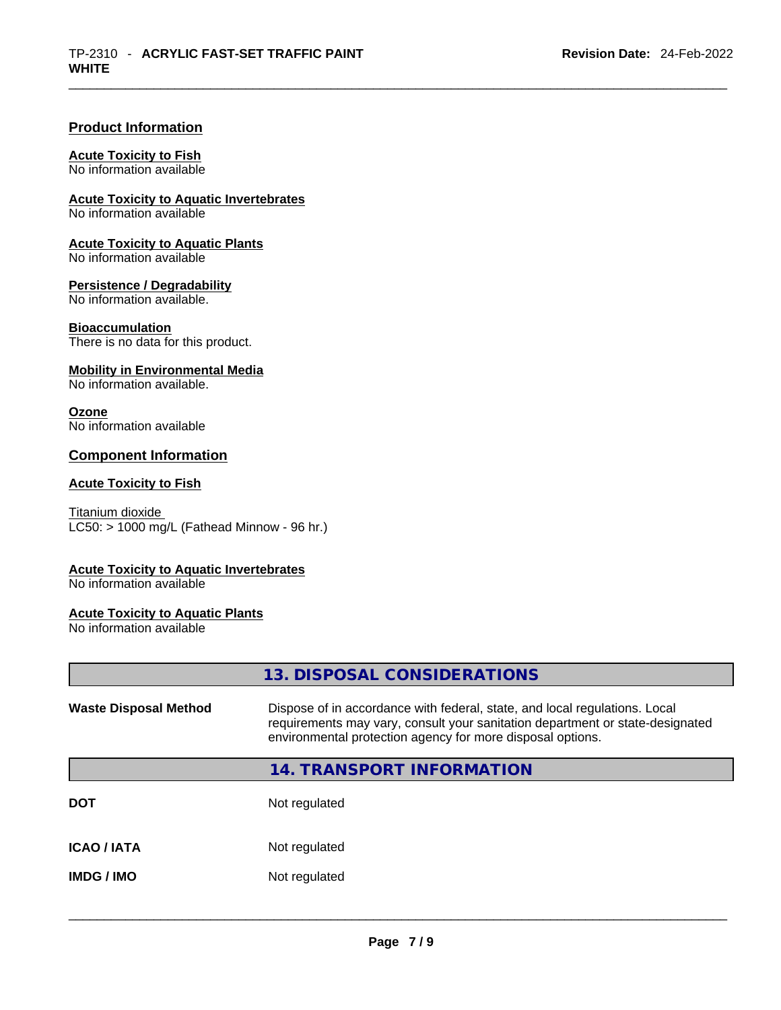# **Product Information**

#### **Acute Toxicity to Fish**

No information available

**Acute Toxicity to Aquatic Invertebrates**

No information available

**Acute Toxicity to Aquatic Plants**

No information available

**Persistence / Degradability**

No information available.

#### **Bioaccumulation**

There is no data for this product.

#### **Mobility in Environmental Media**

No information available.

#### **Ozone**

No information available

# **Component Information**

## **Acute Toxicity to Fish**

Titanium dioxide  $LC50: > 1000$  mg/L (Fathead Minnow - 96 hr.)

#### **Acute Toxicity to Aquatic Invertebrates**

No information available

### **Acute Toxicity to Aquatic Plants**

No information available

|                              | 13. DISPOSAL CONSIDERATIONS                                                                                                                                                                                               |
|------------------------------|---------------------------------------------------------------------------------------------------------------------------------------------------------------------------------------------------------------------------|
| <b>Waste Disposal Method</b> | Dispose of in accordance with federal, state, and local regulations. Local<br>requirements may vary, consult your sanitation department or state-designated<br>environmental protection agency for more disposal options. |
|                              | <b>14. TRANSPORT INFORMATION</b>                                                                                                                                                                                          |
| DOT                          | Not regulated                                                                                                                                                                                                             |
| ICAO / IATA                  | Not regulated                                                                                                                                                                                                             |
| IMDG / IMO                   | Not regulated                                                                                                                                                                                                             |
|                              |                                                                                                                                                                                                                           |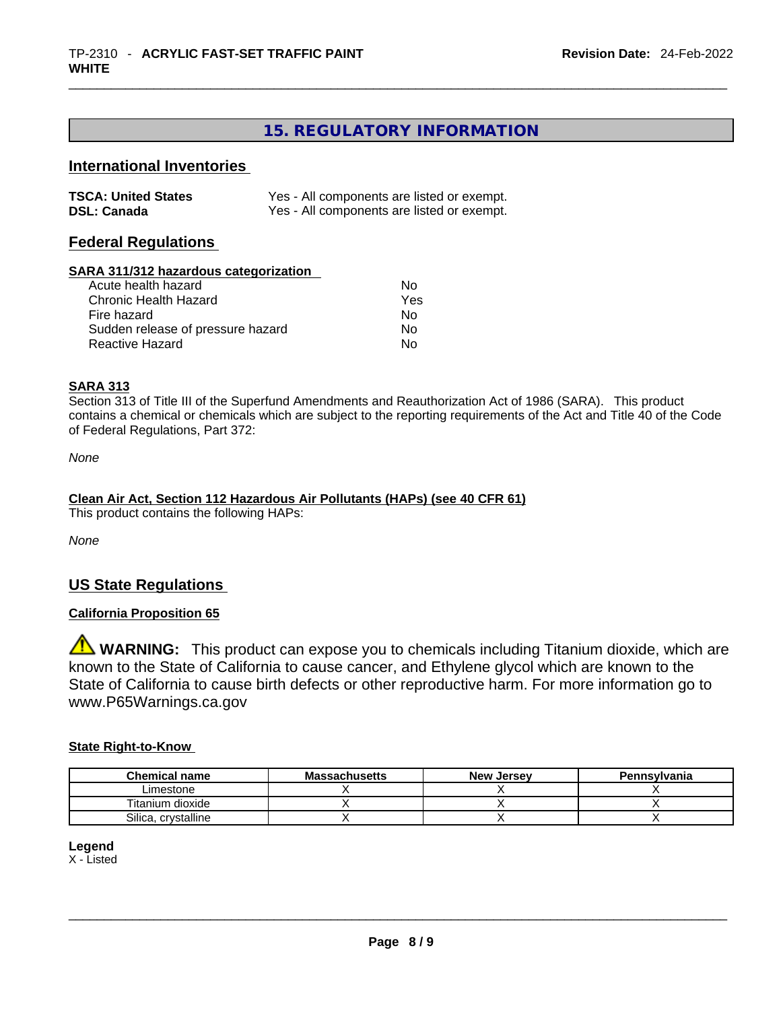# **15. REGULATORY INFORMATION**

# **International Inventories**

| <b>TSCA: United States</b> | Yes - All components are listed or exempt. |
|----------------------------|--------------------------------------------|
| <b>DSL: Canada</b>         | Yes - All components are listed or exempt. |

#### **Federal Regulations**

#### **SARA 311/312 hazardous categorization**

| Acute health hazard               | Nο  |  |
|-----------------------------------|-----|--|
| Chronic Health Hazard             | Yes |  |
| Fire hazard                       | Nο  |  |
| Sudden release of pressure hazard | Nο  |  |
| Reactive Hazard                   | Nο  |  |

#### **SARA 313**

Section 313 of Title III of the Superfund Amendments and Reauthorization Act of 1986 (SARA). This product contains a chemical or chemicals which are subject to the reporting requirements of the Act and Title 40 of the Code of Federal Regulations, Part 372:

*None*

#### **Clean Air Act,Section 112 Hazardous Air Pollutants (HAPs) (see 40 CFR 61)**

This product contains the following HAPs:

*None*

# **US State Regulations**

#### **California Proposition 65**

**WARNING:** This product can expose you to chemicals including Titanium dioxide, which are known to the State of California to cause cancer, and Ethylene glycol which are known to the State of California to cause birth defects or other reproductive harm. For more information go to www.P65Warnings.ca.gov

#### **State Right-to-Know**

| <b>Chemical name</b> | <b>Massachusetts</b> | <b>New Jersey</b> | <b>Pennsylvania</b> |
|----------------------|----------------------|-------------------|---------------------|
| Limestone            |                      |                   |                     |
| Titanium dioxide     |                      |                   |                     |
| Silica, crystalline  |                      |                   |                     |

#### **Legend**

X - Listed